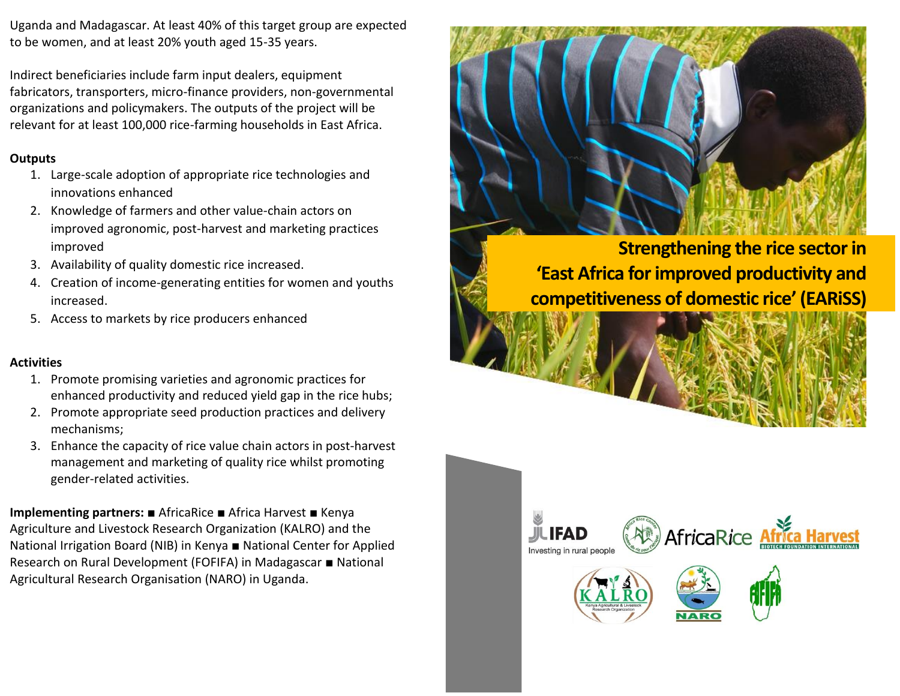Uganda and Madagascar. At least 40% of this target group are expected to be women, and at least 20% youth aged 15-35 years.

Indirect beneficiaries include farm input dealers, equipment fabricators, transporters, micro-finance providers, non-governmental organizations and policymakers. The outputs of the project will be relevant for at least 100,000 rice-farming households in East Africa.

## **Outputs**

- 1. Large-scale adoption of appropriate rice technologies and innovations enhanced
- 2. Knowledge of farmers and other value-chain actors on improved agronomic, post-harvest and marketing practices improved
- 3. Availability of quality domestic rice increased.
- 4. Creation of income-generating entities for women and youths increased.
- 5. Access to markets by rice producers enhanced

## **Activities**

- 1. Promote promising varieties and agronomic practices for enhanced productivity and reduced yield gap in the rice hubs;
- 2. Promote appropriate seed production practices and delivery mechanisms;
- 3. Enhance the capacity of rice value chain actors in post-harvest management and marketing of quality rice whilst promoting gender-related activities.

**Implementing partners:** ■ AfricaRice ■ Africa Harvest ■ Kenya Agriculture and Livestock Research Organization (KALRO) and the National Irrigation Board (NIB) in Kenya ■ National Center for Applied Research on Rural Development (FOFIFA) in Madagascar ■ National Agricultural Research Organisation (NARO) in Uganda.